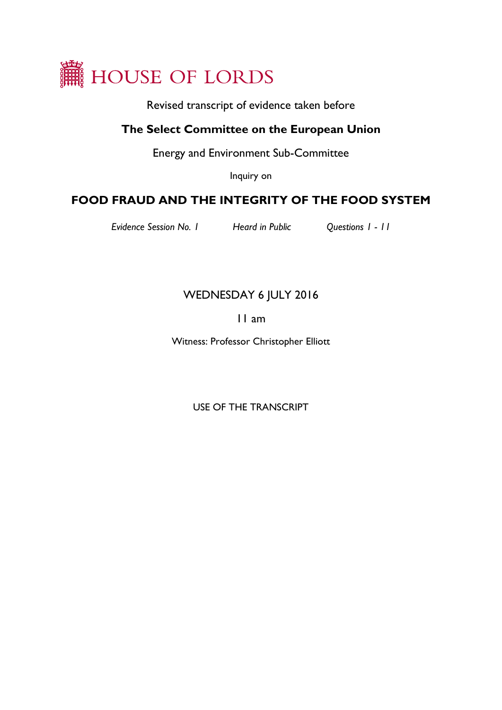

Revised transcript of evidence taken before

# **The Select Committee on the European Union**

Energy and Environment Sub-Committee

Inquiry on

# **FOOD FRAUD AND THE INTEGRITY OF THE FOOD SYSTEM**

*Evidence Session No. 1 Heard in Public Questions 1 - 11*

# WEDNESDAY 6 JULY 2016

## 11 am

Witness: Professor Christopher Elliott

USE OF THE TRANSCRIPT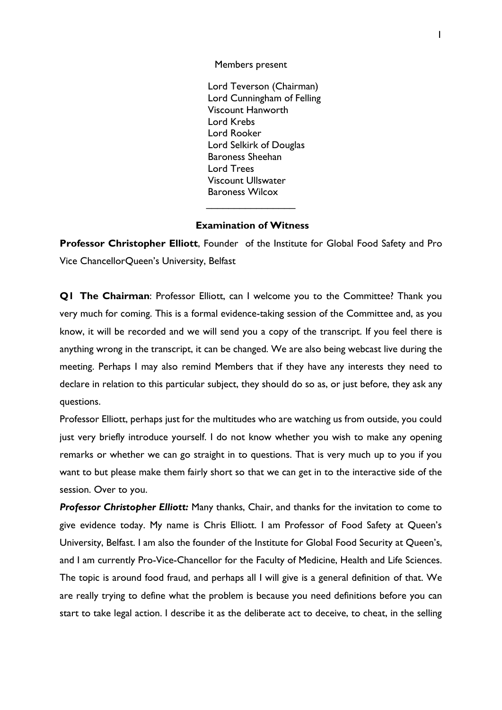Members present

Lord Teverson (Chairman) Lord Cunningham of Felling Viscount Hanworth Lord Krebs Lord Rooker Lord Selkirk of Douglas Baroness Sheehan Lord Trees Viscount Ullswater Baroness Wilcox

### **Examination of Witness**

 $\overline{\phantom{a}}$  , where  $\overline{\phantom{a}}$ 

**Professor Christopher Elliott**, Founder of the Institute for Global Food Safety and Pro Vice ChancellorQueen's University, Belfast

**Q1 The Chairman**: Professor Elliott, can I welcome you to the Committee? Thank you very much for coming. This is a formal evidence-taking session of the Committee and, as you know, it will be recorded and we will send you a copy of the transcript. If you feel there is anything wrong in the transcript, it can be changed. We are also being webcast live during the meeting. Perhaps I may also remind Members that if they have any interests they need to declare in relation to this particular subject, they should do so as, or just before, they ask any questions.

Professor Elliott, perhaps just for the multitudes who are watching us from outside, you could just very briefly introduce yourself. I do not know whether you wish to make any opening remarks or whether we can go straight in to questions. That is very much up to you if you want to but please make them fairly short so that we can get in to the interactive side of the session. Over to you.

**Professor Christopher Elliott:** Many thanks, Chair, and thanks for the invitation to come to give evidence today. My name is Chris Elliott. I am Professor of Food Safety at Queen's University, Belfast. I am also the founder of the Institute for Global Food Security at Queen's, and I am currently Pro-Vice-Chancellor for the Faculty of Medicine, Health and Life Sciences. The topic is around food fraud, and perhaps all I will give is a general definition of that. We are really trying to define what the problem is because you need definitions before you can start to take legal action. I describe it as the deliberate act to deceive, to cheat, in the selling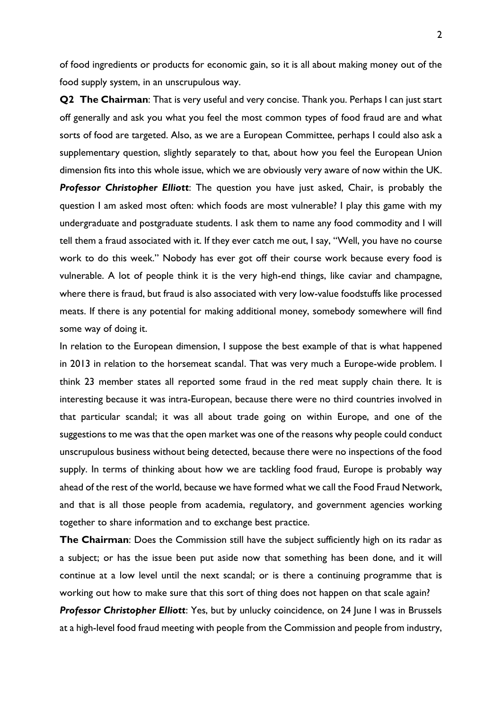of food ingredients or products for economic gain, so it is all about making money out of the food supply system, in an unscrupulous way.

**Q2 The Chairman:** That is very useful and very concise. Thank you. Perhaps I can just start off generally and ask you what you feel the most common types of food fraud are and what sorts of food are targeted. Also, as we are a European Committee, perhaps I could also ask a supplementary question, slightly separately to that, about how you feel the European Union dimension fits into this whole issue, which we are obviously very aware of now within the UK. *Professor Christopher Elliott*: The question you have just asked, Chair, is probably the question I am asked most often: which foods are most vulnerable? I play this game with my undergraduate and postgraduate students. I ask them to name any food commodity and I will tell them a fraud associated with it. If they ever catch me out, I say, "Well, you have no course work to do this week." Nobody has ever got off their course work because every food is vulnerable. A lot of people think it is the very high-end things, like caviar and champagne, where there is fraud, but fraud is also associated with very low-value foodstuffs like processed meats. If there is any potential for making additional money, somebody somewhere will find some way of doing it.

In relation to the European dimension, I suppose the best example of that is what happened in 2013 in relation to the horsemeat scandal. That was very much a Europe-wide problem. I think 23 member states all reported some fraud in the red meat supply chain there. It is interesting because it was intra-European, because there were no third countries involved in that particular scandal; it was all about trade going on within Europe, and one of the suggestions to me was that the open market was one of the reasons why people could conduct unscrupulous business without being detected, because there were no inspections of the food supply. In terms of thinking about how we are tackling food fraud, Europe is probably way ahead of the rest of the world, because we have formed what we call the Food Fraud Network, and that is all those people from academia, regulatory, and government agencies working together to share information and to exchange best practice.

**The Chairman**: Does the Commission still have the subject sufficiently high on its radar as a subject; or has the issue been put aside now that something has been done, and it will continue at a low level until the next scandal; or is there a continuing programme that is working out how to make sure that this sort of thing does not happen on that scale again?

**Professor Christopher Elliott:** Yes, but by unlucky coincidence, on 24 June I was in Brussels at a high-level food fraud meeting with people from the Commission and people from industry,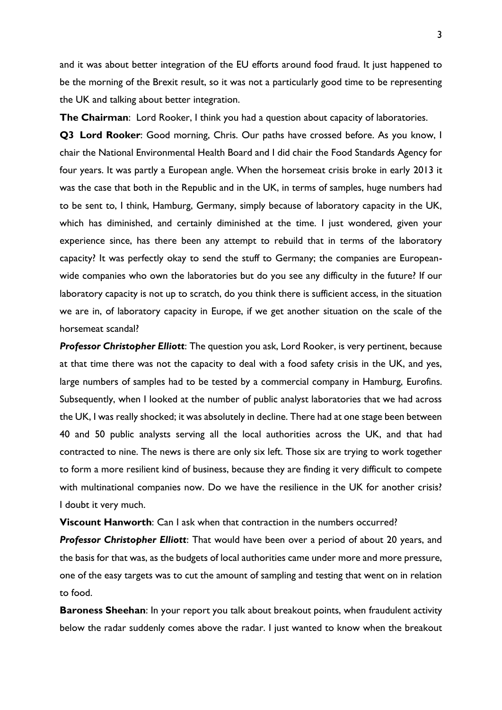and it was about better integration of the EU efforts around food fraud. It just happened to be the morning of the Brexit result, so it was not a particularly good time to be representing the UK and talking about better integration.

**The Chairman**: Lord Rooker, I think you had a question about capacity of laboratories.

**Q3 Lord Rooker**: Good morning, Chris. Our paths have crossed before. As you know, I chair the National Environmental Health Board and I did chair the Food Standards Agency for four years. It was partly a European angle. When the horsemeat crisis broke in early 2013 it was the case that both in the Republic and in the UK, in terms of samples, huge numbers had to be sent to, I think, Hamburg, Germany, simply because of laboratory capacity in the UK, which has diminished, and certainly diminished at the time. I just wondered, given your experience since, has there been any attempt to rebuild that in terms of the laboratory capacity? It was perfectly okay to send the stuff to Germany; the companies are Europeanwide companies who own the laboratories but do you see any difficulty in the future? If our laboratory capacity is not up to scratch, do you think there is sufficient access, in the situation we are in, of laboratory capacity in Europe, if we get another situation on the scale of the horsemeat scandal?

*Professor Christopher Elliott*: The question you ask, Lord Rooker, is very pertinent, because at that time there was not the capacity to deal with a food safety crisis in the UK, and yes, large numbers of samples had to be tested by a commercial company in Hamburg, Eurofins. Subsequently, when I looked at the number of public analyst laboratories that we had across the UK, I was really shocked; it was absolutely in decline. There had at one stage been between 40 and 50 public analysts serving all the local authorities across the UK, and that had contracted to nine. The news is there are only six left. Those six are trying to work together to form a more resilient kind of business, because they are finding it very difficult to compete with multinational companies now. Do we have the resilience in the UK for another crisis? I doubt it very much.

**Viscount Hanworth**: Can I ask when that contraction in the numbers occurred?

*Professor Christopher Elliott*: That would have been over a period of about 20 years, and the basis for that was, as the budgets of local authorities came under more and more pressure, one of the easy targets was to cut the amount of sampling and testing that went on in relation to food.

**Baroness Sheehan**: In your report you talk about breakout points, when fraudulent activity below the radar suddenly comes above the radar. I just wanted to know when the breakout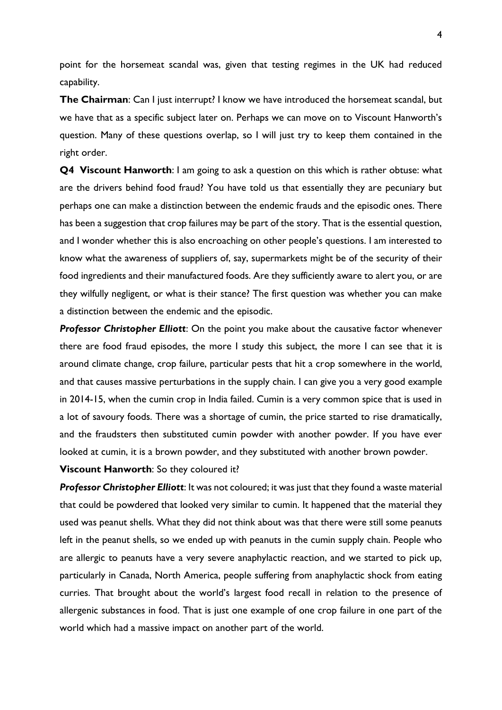point for the horsemeat scandal was, given that testing regimes in the UK had reduced capability.

**The Chairman**: Can I just interrupt? I know we have introduced the horsemeat scandal, but we have that as a specific subject later on. Perhaps we can move on to Viscount Hanworth's question. Many of these questions overlap, so I will just try to keep them contained in the right order.

**Q4 Viscount Hanworth**: I am going to ask a question on this which is rather obtuse: what are the drivers behind food fraud? You have told us that essentially they are pecuniary but perhaps one can make a distinction between the endemic frauds and the episodic ones. There has been a suggestion that crop failures may be part of the story. That is the essential question, and I wonder whether this is also encroaching on other people's questions. I am interested to know what the awareness of suppliers of, say, supermarkets might be of the security of their food ingredients and their manufactured foods. Are they sufficiently aware to alert you, or are they wilfully negligent, or what is their stance? The first question was whether you can make a distinction between the endemic and the episodic.

*Professor Christopher Elliott*: On the point you make about the causative factor whenever there are food fraud episodes, the more I study this subject, the more I can see that it is around climate change, crop failure, particular pests that hit a crop somewhere in the world, and that causes massive perturbations in the supply chain. I can give you a very good example in 2014-15, when the cumin crop in India failed. Cumin is a very common spice that is used in a lot of savoury foods. There was a shortage of cumin, the price started to rise dramatically, and the fraudsters then substituted cumin powder with another powder. If you have ever looked at cumin, it is a brown powder, and they substituted with another brown powder.

**Viscount Hanworth**: So they coloured it?

*Professor Christopher Elliott*: It was not coloured; it was just that they found a waste material that could be powdered that looked very similar to cumin. It happened that the material they used was peanut shells. What they did not think about was that there were still some peanuts left in the peanut shells, so we ended up with peanuts in the cumin supply chain. People who are allergic to peanuts have a very severe anaphylactic reaction, and we started to pick up, particularly in Canada, North America, people suffering from anaphylactic shock from eating curries. That brought about the world's largest food recall in relation to the presence of allergenic substances in food. That is just one example of one crop failure in one part of the world which had a massive impact on another part of the world.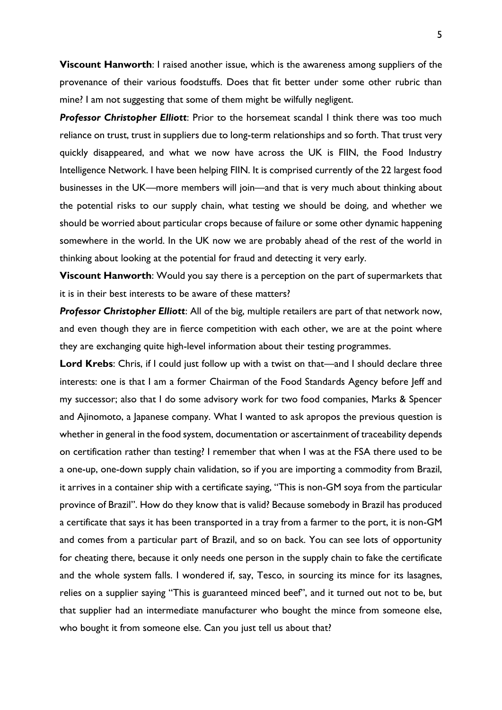**Viscount Hanworth**: I raised another issue, which is the awareness among suppliers of the provenance of their various foodstuffs. Does that fit better under some other rubric than mine? I am not suggesting that some of them might be wilfully negligent.

*Professor Christopher Elliott*: Prior to the horsemeat scandal I think there was too much reliance on trust, trust in suppliers due to long-term relationships and so forth. That trust very quickly disappeared, and what we now have across the UK is FIIN, the Food Industry Intelligence Network. I have been helping FIIN. It is comprised currently of the 22 largest food businesses in the UK—more members will join—and that is very much about thinking about the potential risks to our supply chain, what testing we should be doing, and whether we should be worried about particular crops because of failure or some other dynamic happening somewhere in the world. In the UK now we are probably ahead of the rest of the world in thinking about looking at the potential for fraud and detecting it very early.

**Viscount Hanworth**: Would you say there is a perception on the part of supermarkets that it is in their best interests to be aware of these matters?

*Professor Christopher Elliott*: All of the big, multiple retailers are part of that network now, and even though they are in fierce competition with each other, we are at the point where they are exchanging quite high-level information about their testing programmes.

Lord Krebs: Chris, if I could just follow up with a twist on that—and I should declare three interests: one is that I am a former Chairman of the Food Standards Agency before Jeff and my successor; also that I do some advisory work for two food companies, Marks & Spencer and Ajinomoto, a Japanese company. What I wanted to ask apropos the previous question is whether in general in the food system, documentation or ascertainment of traceability depends on certification rather than testing? I remember that when I was at the FSA there used to be a one-up, one-down supply chain validation, so if you are importing a commodity from Brazil, it arrives in a container ship with a certificate saying, "This is non-GM soya from the particular province of Brazil". How do they know that is valid? Because somebody in Brazil has produced a certificate that says it has been transported in a tray from a farmer to the port, it is non-GM and comes from a particular part of Brazil, and so on back. You can see lots of opportunity for cheating there, because it only needs one person in the supply chain to fake the certificate and the whole system falls. I wondered if, say, Tesco, in sourcing its mince for its lasagnes, relies on a supplier saying "This is guaranteed minced beef", and it turned out not to be, but that supplier had an intermediate manufacturer who bought the mince from someone else, who bought it from someone else. Can you just tell us about that?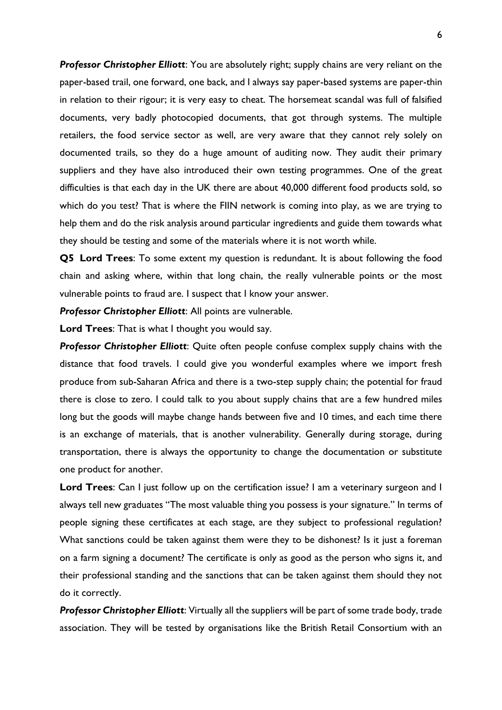*Professor Christopher Elliott*: You are absolutely right; supply chains are very reliant on the paper-based trail, one forward, one back, and I always say paper-based systems are paper-thin in relation to their rigour; it is very easy to cheat. The horsemeat scandal was full of falsified documents, very badly photocopied documents, that got through systems. The multiple retailers, the food service sector as well, are very aware that they cannot rely solely on documented trails, so they do a huge amount of auditing now. They audit their primary suppliers and they have also introduced their own testing programmes. One of the great difficulties is that each day in the UK there are about 40,000 different food products sold, so which do you test? That is where the FIIN network is coming into play, as we are trying to help them and do the risk analysis around particular ingredients and guide them towards what they should be testing and some of the materials where it is not worth while.

**Q5 Lord Trees**: To some extent my question is redundant. It is about following the food chain and asking where, within that long chain, the really vulnerable points or the most vulnerable points to fraud are. I suspect that I know your answer.

*Professor Christopher Elliott*: All points are vulnerable.

**Lord Trees**: That is what I thought you would say.

*Professor Christopher Elliott*: Quite often people confuse complex supply chains with the distance that food travels. I could give you wonderful examples where we import fresh produce from sub-Saharan Africa and there is a two-step supply chain; the potential for fraud there is close to zero. I could talk to you about supply chains that are a few hundred miles long but the goods will maybe change hands between five and 10 times, and each time there is an exchange of materials, that is another vulnerability. Generally during storage, during transportation, there is always the opportunity to change the documentation or substitute one product for another.

**Lord Trees**: Can I just follow up on the certification issue? I am a veterinary surgeon and I always tell new graduates "The most valuable thing you possess is your signature." In terms of people signing these certificates at each stage, are they subject to professional regulation? What sanctions could be taken against them were they to be dishonest? Is it just a foreman on a farm signing a document? The certificate is only as good as the person who signs it, and their professional standing and the sanctions that can be taken against them should they not do it correctly.

*Professor Christopher Elliott*: Virtually all the suppliers will be part of some trade body, trade association. They will be tested by organisations like the British Retail Consortium with an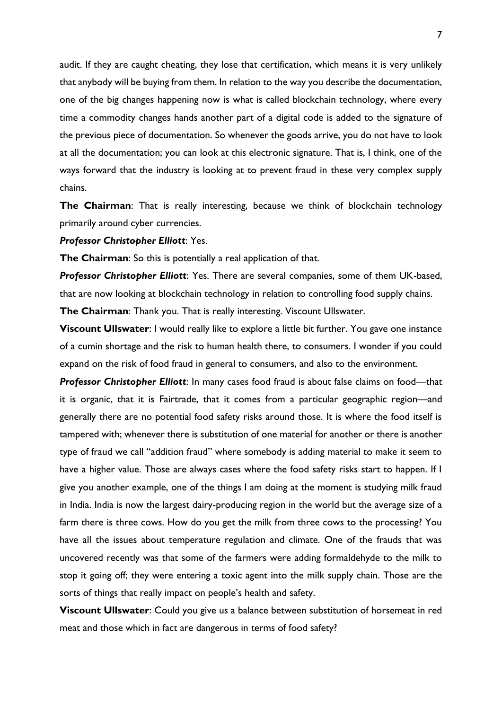audit. If they are caught cheating, they lose that certification, which means it is very unlikely that anybody will be buying from them. In relation to the way you describe the documentation, one of the big changes happening now is what is called blockchain technology, where every time a commodity changes hands another part of a digital code is added to the signature of the previous piece of documentation. So whenever the goods arrive, you do not have to look at all the documentation; you can look at this electronic signature. That is, I think, one of the ways forward that the industry is looking at to prevent fraud in these very complex supply chains.

**The Chairman**: That is really interesting, because we think of blockchain technology primarily around cyber currencies.

### *Professor Christopher Elliott*: Yes.

**The Chairman**: So this is potentially a real application of that.

*Professor Christopher Elliott*: Yes. There are several companies, some of them UK-based, that are now looking at blockchain technology in relation to controlling food supply chains. **The Chairman**: Thank you. That is really interesting. Viscount Ullswater.

**Viscount Ullswater**: I would really like to explore a little bit further. You gave one instance of a cumin shortage and the risk to human health there, to consumers. I wonder if you could expand on the risk of food fraud in general to consumers, and also to the environment.

*Professor Christopher Elliott*: In many cases food fraud is about false claims on food—that it is organic, that it is Fairtrade, that it comes from a particular geographic region—and generally there are no potential food safety risks around those. It is where the food itself is tampered with; whenever there is substitution of one material for another or there is another type of fraud we call "addition fraud" where somebody is adding material to make it seem to have a higher value. Those are always cases where the food safety risks start to happen. If I give you another example, one of the things I am doing at the moment is studying milk fraud in India. India is now the largest dairy-producing region in the world but the average size of a farm there is three cows. How do you get the milk from three cows to the processing? You have all the issues about temperature regulation and climate. One of the frauds that was uncovered recently was that some of the farmers were adding formaldehyde to the milk to stop it going off; they were entering a toxic agent into the milk supply chain. Those are the sorts of things that really impact on people's health and safety.

**Viscount Ullswater**: Could you give us a balance between substitution of horsemeat in red meat and those which in fact are dangerous in terms of food safety?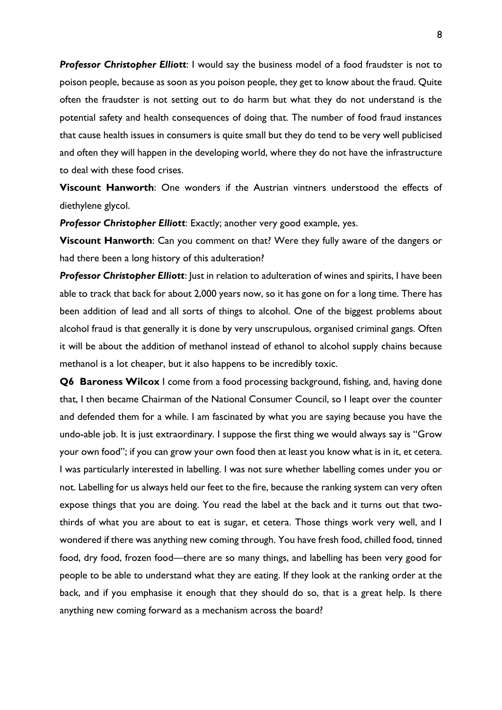**Professor Christopher Elliott:** I would say the business model of a food fraudster is not to poison people, because as soon as you poison people, they get to know about the fraud. Quite often the fraudster is not setting out to do harm but what they do not understand is the potential safety and health consequences of doing that. The number of food fraud instances that cause health issues in consumers is quite small but they do tend to be very well publicised and often they will happen in the developing world, where they do not have the infrastructure to deal with these food crises.

**Viscount Hanworth**: One wonders if the Austrian vintners understood the effects of diethylene glycol.

*Professor Christopher Elliott*: Exactly; another very good example, yes.

**Viscount Hanworth**: Can you comment on that? Were they fully aware of the dangers or had there been a long history of this adulteration?

**Professor Christopher Elliott**: Just in relation to adulteration of wines and spirits, I have been able to track that back for about 2,000 years now, so it has gone on for a long time. There has been addition of lead and all sorts of things to alcohol. One of the biggest problems about alcohol fraud is that generally it is done by very unscrupulous, organised criminal gangs. Often it will be about the addition of methanol instead of ethanol to alcohol supply chains because methanol is a lot cheaper, but it also happens to be incredibly toxic.

**Q6 Baroness Wilcox** I come from a food processing background, fishing, and, having done that, I then became Chairman of the National Consumer Council, so I leapt over the counter and defended them for a while. I am fascinated by what you are saying because you have the undo-able job. It is just extraordinary. I suppose the first thing we would always say is "Grow your own food"; if you can grow your own food then at least you know what is in it, et cetera. I was particularly interested in labelling. I was not sure whether labelling comes under you or not. Labelling for us always held our feet to the fire, because the ranking system can very often expose things that you are doing. You read the label at the back and it turns out that twothirds of what you are about to eat is sugar, et cetera. Those things work very well, and I wondered if there was anything new coming through. You have fresh food, chilled food, tinned food, dry food, frozen food—there are so many things, and labelling has been very good for people to be able to understand what they are eating. If they look at the ranking order at the back, and if you emphasise it enough that they should do so, that is a great help. Is there anything new coming forward as a mechanism across the board?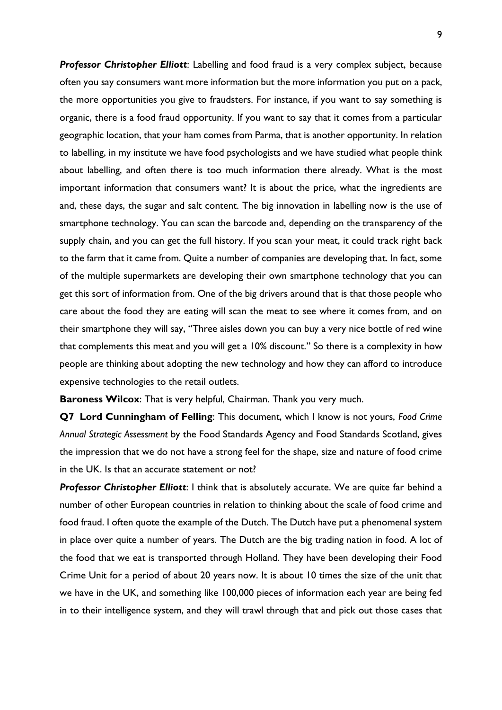*Professor Christopher Elliott*: Labelling and food fraud is a very complex subject, because often you say consumers want more information but the more information you put on a pack, the more opportunities you give to fraudsters. For instance, if you want to say something is organic, there is a food fraud opportunity. If you want to say that it comes from a particular geographic location, that your ham comes from Parma, that is another opportunity. In relation to labelling, in my institute we have food psychologists and we have studied what people think about labelling, and often there is too much information there already. What is the most important information that consumers want? It is about the price, what the ingredients are and, these days, the sugar and salt content. The big innovation in labelling now is the use of smartphone technology. You can scan the barcode and, depending on the transparency of the supply chain, and you can get the full history. If you scan your meat, it could track right back to the farm that it came from. Quite a number of companies are developing that. In fact, some of the multiple supermarkets are developing their own smartphone technology that you can get this sort of information from. One of the big drivers around that is that those people who care about the food they are eating will scan the meat to see where it comes from, and on their smartphone they will say, "Three aisles down you can buy a very nice bottle of red wine that complements this meat and you will get a 10% discount." So there is a complexity in how people are thinking about adopting the new technology and how they can afford to introduce expensive technologies to the retail outlets.

**Baroness Wilcox**: That is very helpful, Chairman. Thank you very much.

**Q7 Lord Cunningham of Felling**: This document, which I know is not yours, *Food Crime Annual Strategic Assessment* by the Food Standards Agency and Food Standards Scotland, gives the impression that we do not have a strong feel for the shape, size and nature of food crime in the UK. Is that an accurate statement or not?

*Professor Christopher Elliott*: I think that is absolutely accurate. We are quite far behind a number of other European countries in relation to thinking about the scale of food crime and food fraud. I often quote the example of the Dutch. The Dutch have put a phenomenal system in place over quite a number of years. The Dutch are the big trading nation in food. A lot of the food that we eat is transported through Holland. They have been developing their Food Crime Unit for a period of about 20 years now. It is about 10 times the size of the unit that we have in the UK, and something like 100,000 pieces of information each year are being fed in to their intelligence system, and they will trawl through that and pick out those cases that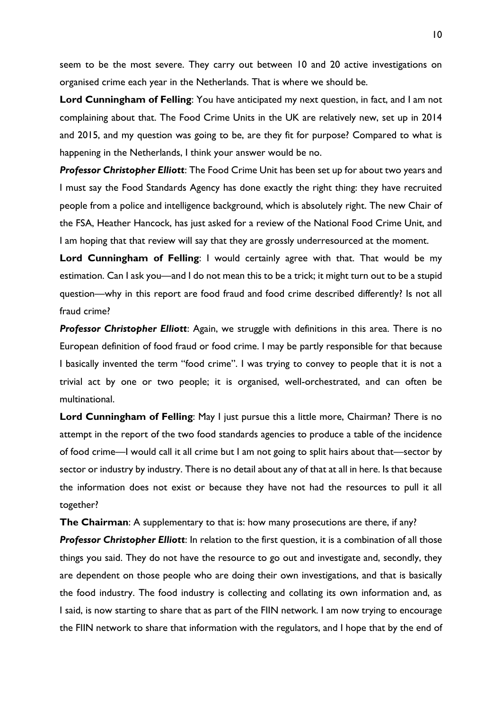seem to be the most severe. They carry out between 10 and 20 active investigations on organised crime each year in the Netherlands. That is where we should be.

**Lord Cunningham of Felling**: You have anticipated my next question, in fact, and I am not complaining about that. The Food Crime Units in the UK are relatively new, set up in 2014 and 2015, and my question was going to be, are they fit for purpose? Compared to what is happening in the Netherlands, I think your answer would be no.

*Professor Christopher Elliott*: The Food Crime Unit has been set up for about two years and I must say the Food Standards Agency has done exactly the right thing: they have recruited people from a police and intelligence background, which is absolutely right. The new Chair of the FSA, Heather Hancock, has just asked for a review of the National Food Crime Unit, and I am hoping that that review will say that they are grossly underresourced at the moment.

**Lord Cunningham of Felling**: I would certainly agree with that. That would be my estimation. Can I ask you—and I do not mean this to be a trick; it might turn out to be a stupid question—why in this report are food fraud and food crime described differently? Is not all fraud crime?

**Professor Christopher Elliott:** Again, we struggle with definitions in this area. There is no European definition of food fraud or food crime. I may be partly responsible for that because I basically invented the term "food crime". I was trying to convey to people that it is not a trivial act by one or two people; it is organised, well-orchestrated, and can often be multinational.

**Lord Cunningham of Felling**: May I just pursue this a little more, Chairman? There is no attempt in the report of the two food standards agencies to produce a table of the incidence of food crime—I would call it all crime but I am not going to split hairs about that—sector by sector or industry by industry. There is no detail about any of that at all in here. Is that because the information does not exist or because they have not had the resources to pull it all together?

**The Chairman**: A supplementary to that is: how many prosecutions are there, if any?

*Professor Christopher Elliott*: In relation to the first question, it is a combination of all those things you said. They do not have the resource to go out and investigate and, secondly, they are dependent on those people who are doing their own investigations, and that is basically the food industry. The food industry is collecting and collating its own information and, as I said, is now starting to share that as part of the FIIN network. I am now trying to encourage the FIIN network to share that information with the regulators, and I hope that by the end of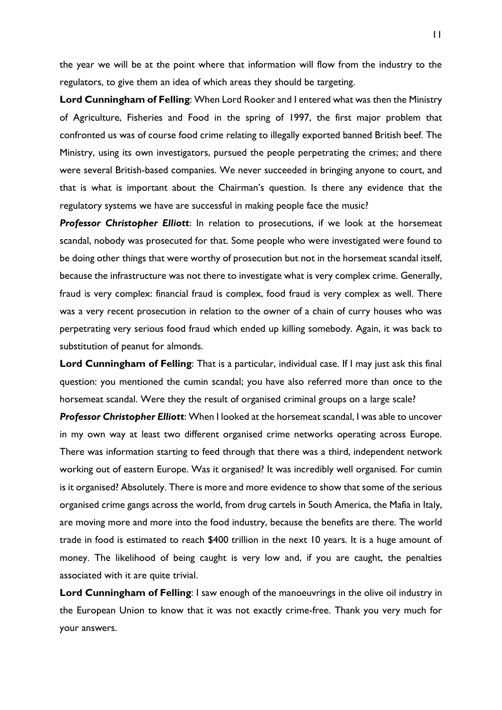the year we will be at the point where that information will flow from the industry to the regulators, to give them an idea of which areas they should be targeting.

**Lord Cunningham of Felling**: When Lord Rooker and I entered what was then the Ministry of Agriculture, Fisheries and Food in the spring of 1997, the first major problem that confronted us was of course food crime relating to illegally exported banned British beef. The Ministry, using its own investigators, pursued the people perpetrating the crimes; and there were several British-based companies. We never succeeded in bringing anyone to court, and that is what is important about the Chairman's question. Is there any evidence that the regulatory systems we have are successful in making people face the music?

*Professor Christopher Elliott*: In relation to prosecutions, if we look at the horsemeat scandal, nobody was prosecuted for that. Some people who were investigated were found to be doing other things that were worthy of prosecution but not in the horsemeat scandal itself, because the infrastructure was not there to investigate what is very complex crime. Generally, fraud is very complex: financial fraud is complex, food fraud is very complex as well. There was a very recent prosecution in relation to the owner of a chain of curry houses who was perpetrating very serious food fraud which ended up killing somebody. Again, it was back to substitution of peanut for almonds.

**Lord Cunningham of Felling**: That is a particular, individual case. If I may just ask this final question: you mentioned the cumin scandal; you have also referred more than once to the horsemeat scandal. Were they the result of organised criminal groups on a large scale?

*Professor Christopher Elliott*: When I looked at the horsemeat scandal, I was able to uncover in my own way at least two different organised crime networks operating across Europe. There was information starting to feed through that there was a third, independent network working out of eastern Europe. Was it organised? It was incredibly well organised. For cumin is it organised? Absolutely. There is more and more evidence to show that some of the serious organised crime gangs across the world, from drug cartels in South America, the Mafia in Italy, are moving more and more into the food industry, because the benefits are there. The world trade in food is estimated to reach \$400 trillion in the next 10 years. It is a huge amount of money. The likelihood of being caught is very low and, if you are caught, the penalties associated with it are quite trivial.

**Lord Cunningham of Felling**: I saw enough of the manoeuvrings in the olive oil industry in the European Union to know that it was not exactly crime-free. Thank you very much for your answers.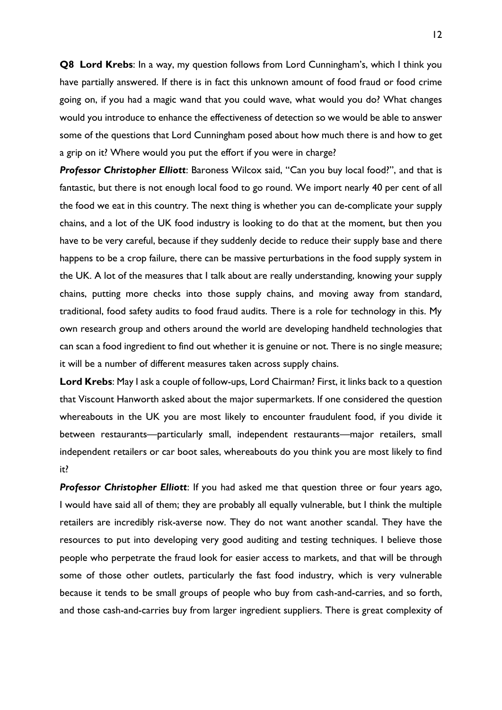**Q8 Lord Krebs**: In a way, my question follows from Lord Cunningham's, which I think you have partially answered. If there is in fact this unknown amount of food fraud or food crime going on, if you had a magic wand that you could wave, what would you do? What changes would you introduce to enhance the effectiveness of detection so we would be able to answer some of the questions that Lord Cunningham posed about how much there is and how to get a grip on it? Where would you put the effort if you were in charge?

*Professor Christopher Elliott*: Baroness Wilcox said, "Can you buy local food?", and that is fantastic, but there is not enough local food to go round. We import nearly 40 per cent of all the food we eat in this country. The next thing is whether you can de-complicate your supply chains, and a lot of the UK food industry is looking to do that at the moment, but then you have to be very careful, because if they suddenly decide to reduce their supply base and there happens to be a crop failure, there can be massive perturbations in the food supply system in the UK. A lot of the measures that I talk about are really understanding, knowing your supply chains, putting more checks into those supply chains, and moving away from standard, traditional, food safety audits to food fraud audits. There is a role for technology in this. My own research group and others around the world are developing handheld technologies that can scan a food ingredient to find out whether it is genuine or not. There is no single measure; it will be a number of different measures taken across supply chains.

**Lord Krebs**: May I ask a couple of follow-ups, Lord Chairman? First, it links back to a question that Viscount Hanworth asked about the major supermarkets. If one considered the question whereabouts in the UK you are most likely to encounter fraudulent food, if you divide it between restaurants—particularly small, independent restaurants—major retailers, small independent retailers or car boot sales, whereabouts do you think you are most likely to find it?

*Professor Christopher Elliott*: If you had asked me that question three or four years ago, I would have said all of them; they are probably all equally vulnerable, but I think the multiple retailers are incredibly risk-averse now. They do not want another scandal. They have the resources to put into developing very good auditing and testing techniques. I believe those people who perpetrate the fraud look for easier access to markets, and that will be through some of those other outlets, particularly the fast food industry, which is very vulnerable because it tends to be small groups of people who buy from cash-and-carries, and so forth, and those cash-and-carries buy from larger ingredient suppliers. There is great complexity of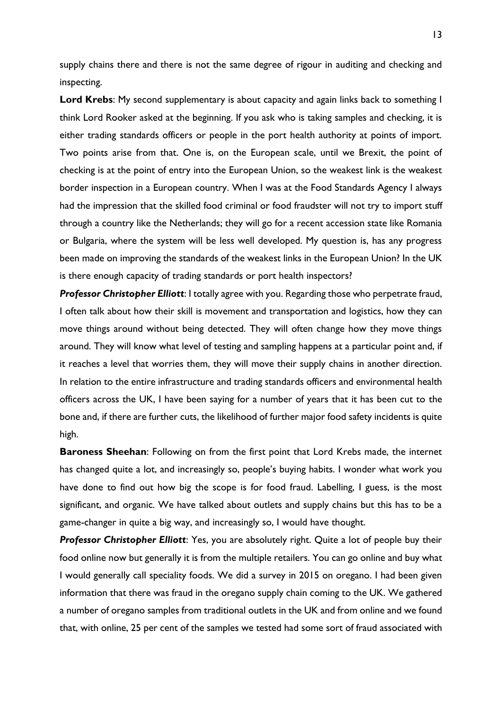supply chains there and there is not the same degree of rigour in auditing and checking and inspecting.

**Lord Krebs**: My second supplementary is about capacity and again links back to something I think Lord Rooker asked at the beginning. If you ask who is taking samples and checking, it is either trading standards officers or people in the port health authority at points of import. Two points arise from that. One is, on the European scale, until we Brexit, the point of checking is at the point of entry into the European Union, so the weakest link is the weakest border inspection in a European country. When I was at the Food Standards Agency I always had the impression that the skilled food criminal or food fraudster will not try to import stuff through a country like the Netherlands; they will go for a recent accession state like Romania or Bulgaria, where the system will be less well developed. My question is, has any progress been made on improving the standards of the weakest links in the European Union? In the UK is there enough capacity of trading standards or port health inspectors?

*Professor Christopher Elliott*: I totally agree with you. Regarding those who perpetrate fraud, I often talk about how their skill is movement and transportation and logistics, how they can move things around without being detected. They will often change how they move things around. They will know what level of testing and sampling happens at a particular point and, if it reaches a level that worries them, they will move their supply chains in another direction. In relation to the entire infrastructure and trading standards officers and environmental health officers across the UK, I have been saying for a number of years that it has been cut to the bone and, if there are further cuts, the likelihood of further major food safety incidents is quite high.

**Baroness Sheehan**: Following on from the first point that Lord Krebs made, the internet has changed quite a lot, and increasingly so, people's buying habits. I wonder what work you have done to find out how big the scope is for food fraud. Labelling, I guess, is the most significant, and organic. We have talked about outlets and supply chains but this has to be a game-changer in quite a big way, and increasingly so, I would have thought.

*Professor Christopher Elliott*: Yes, you are absolutely right. Quite a lot of people buy their food online now but generally it is from the multiple retailers. You can go online and buy what I would generally call speciality foods. We did a survey in 2015 on oregano. I had been given information that there was fraud in the oregano supply chain coming to the UK. We gathered a number of oregano samples from traditional outlets in the UK and from online and we found that, with online, 25 per cent of the samples we tested had some sort of fraud associated with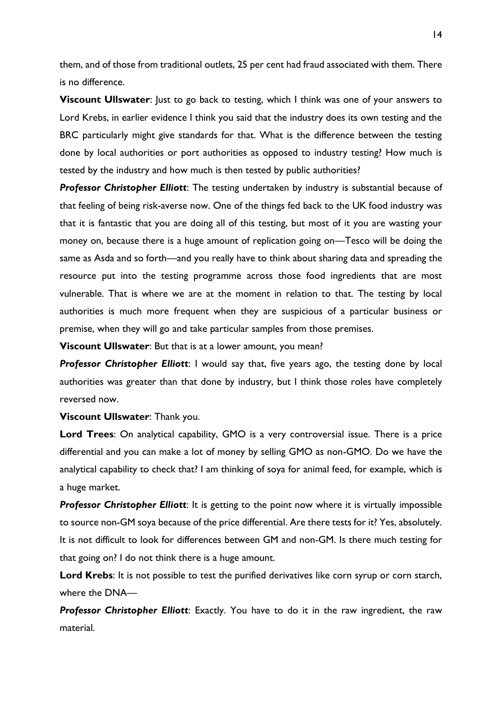them, and of those from traditional outlets, 25 per cent had fraud associated with them. There is no difference.

**Viscount Ullswater**: Just to go back to testing, which I think was one of your answers to Lord Krebs, in earlier evidence I think you said that the industry does its own testing and the BRC particularly might give standards for that. What is the difference between the testing done by local authorities or port authorities as opposed to industry testing? How much is tested by the industry and how much is then tested by public authorities?

*Professor Christopher Elliott*: The testing undertaken by industry is substantial because of that feeling of being risk-averse now. One of the things fed back to the UK food industry was that it is fantastic that you are doing all of this testing, but most of it you are wasting your money on, because there is a huge amount of replication going on—Tesco will be doing the same as Asda and so forth—and you really have to think about sharing data and spreading the resource put into the testing programme across those food ingredients that are most vulnerable. That is where we are at the moment in relation to that. The testing by local authorities is much more frequent when they are suspicious of a particular business or premise, when they will go and take particular samples from those premises.

**Viscount Ullswater**: But that is at a lower amount, you mean?

**Professor Christopher Elliott:** I would say that, five years ago, the testing done by local authorities was greater than that done by industry, but I think those roles have completely reversed now.

**Viscount Ullswater**: Thank you.

**Lord Trees**: On analytical capability, GMO is a very controversial issue. There is a price differential and you can make a lot of money by selling GMO as non-GMO. Do we have the analytical capability to check that? I am thinking of soya for animal feed, for example, which is a huge market.

**Professor Christopher Elliott:** It is getting to the point now where it is virtually impossible to source non-GM soya because of the price differential. Are there tests for it? Yes, absolutely. It is not difficult to look for differences between GM and non-GM. Is there much testing for that going on? I do not think there is a huge amount.

**Lord Krebs**: It is not possible to test the purified derivatives like corn syrup or corn starch, where the DNA—

*Professor Christopher Elliott*: Exactly. You have to do it in the raw ingredient, the raw material.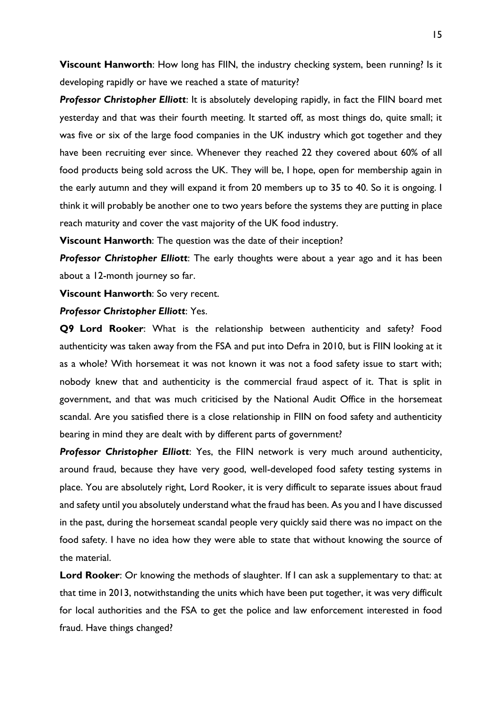**Viscount Hanworth**: How long has FIIN, the industry checking system, been running? Is it developing rapidly or have we reached a state of maturity?

*Professor Christopher Elliott*: It is absolutely developing rapidly, in fact the FIIN board met yesterday and that was their fourth meeting. It started off, as most things do, quite small; it was five or six of the large food companies in the UK industry which got together and they have been recruiting ever since. Whenever they reached 22 they covered about 60% of all food products being sold across the UK. They will be, I hope, open for membership again in the early autumn and they will expand it from 20 members up to 35 to 40. So it is ongoing. I think it will probably be another one to two years before the systems they are putting in place reach maturity and cover the vast majority of the UK food industry.

**Viscount Hanworth**: The question was the date of their inception?

*Professor Christopher Elliott*: The early thoughts were about a year ago and it has been about a 12-month journey so far.

**Viscount Hanworth**: So very recent.

### *Professor Christopher Elliott*: Yes.

**Q9 Lord Rooker**: What is the relationship between authenticity and safety? Food authenticity was taken away from the FSA and put into Defra in 2010, but is FIIN looking at it as a whole? With horsemeat it was not known it was not a food safety issue to start with; nobody knew that and authenticity is the commercial fraud aspect of it. That is split in government, and that was much criticised by the National Audit Office in the horsemeat scandal. Are you satisfied there is a close relationship in FIIN on food safety and authenticity bearing in mind they are dealt with by different parts of government?

*Professor Christopher Elliott*: Yes, the FIIN network is very much around authenticity, around fraud, because they have very good, well-developed food safety testing systems in place. You are absolutely right, Lord Rooker, it is very difficult to separate issues about fraud and safety until you absolutely understand what the fraud has been. As you and I have discussed in the past, during the horsemeat scandal people very quickly said there was no impact on the food safety. I have no idea how they were able to state that without knowing the source of the material.

**Lord Rooker**: Or knowing the methods of slaughter. If I can ask a supplementary to that: at that time in 2013, notwithstanding the units which have been put together, it was very difficult for local authorities and the FSA to get the police and law enforcement interested in food fraud. Have things changed?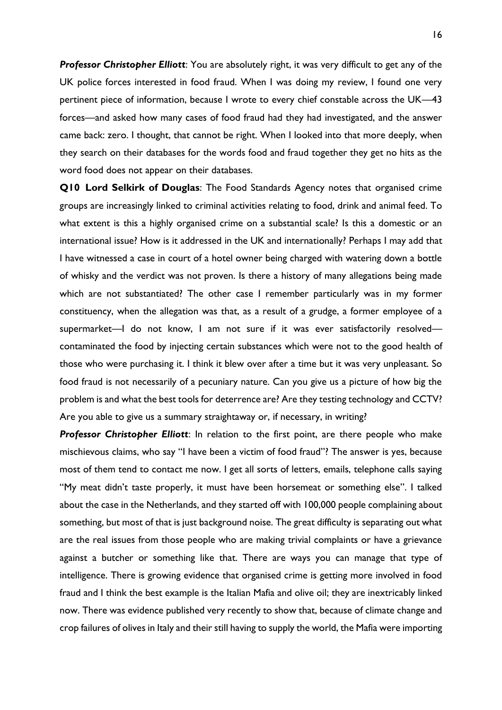*Professor Christopher Elliott*: You are absolutely right, it was very difficult to get any of the UK police forces interested in food fraud. When I was doing my review, I found one very pertinent piece of information, because I wrote to every chief constable across the UK—43 forces—and asked how many cases of food fraud had they had investigated, and the answer came back: zero. I thought, that cannot be right. When I looked into that more deeply, when they search on their databases for the words food and fraud together they get no hits as the word food does not appear on their databases.

**Q10 Lord Selkirk of Douglas**: The Food Standards Agency notes that organised crime groups are increasingly linked to criminal activities relating to food, drink and animal feed. To what extent is this a highly organised crime on a substantial scale? Is this a domestic or an international issue? How is it addressed in the UK and internationally? Perhaps I may add that I have witnessed a case in court of a hotel owner being charged with watering down a bottle of whisky and the verdict was not proven. Is there a history of many allegations being made which are not substantiated? The other case I remember particularly was in my former constituency, when the allegation was that, as a result of a grudge, a former employee of a supermarket—I do not know, I am not sure if it was ever satisfactorily resolved contaminated the food by injecting certain substances which were not to the good health of those who were purchasing it. I think it blew over after a time but it was very unpleasant. So food fraud is not necessarily of a pecuniary nature. Can you give us a picture of how big the problem is and what the best tools for deterrence are? Are they testing technology and CCTV? Are you able to give us a summary straightaway or, if necessary, in writing?

*Professor Christopher Elliott*: In relation to the first point, are there people who make mischievous claims, who say "I have been a victim of food fraud"? The answer is yes, because most of them tend to contact me now. I get all sorts of letters, emails, telephone calls saying "My meat didn't taste properly, it must have been horsemeat or something else". I talked about the case in the Netherlands, and they started off with 100,000 people complaining about something, but most of that is just background noise. The great difficulty is separating out what are the real issues from those people who are making trivial complaints or have a grievance against a butcher or something like that. There are ways you can manage that type of intelligence. There is growing evidence that organised crime is getting more involved in food fraud and I think the best example is the Italian Mafia and olive oil; they are inextricably linked now. There was evidence published very recently to show that, because of climate change and crop failures of olives in Italy and their still having to supply the world, the Mafia were importing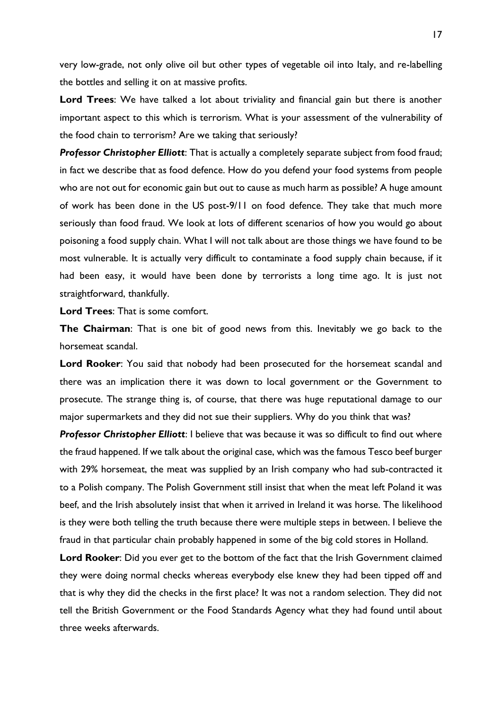very low-grade, not only olive oil but other types of vegetable oil into Italy, and re-labelling the bottles and selling it on at massive profits.

**Lord Trees**: We have talked a lot about triviality and financial gain but there is another important aspect to this which is terrorism. What is your assessment of the vulnerability of the food chain to terrorism? Are we taking that seriously?

*Professor Christopher Elliott*: That is actually a completely separate subject from food fraud; in fact we describe that as food defence. How do you defend your food systems from people who are not out for economic gain but out to cause as much harm as possible? A huge amount of work has been done in the US post-9/11 on food defence. They take that much more seriously than food fraud. We look at lots of different scenarios of how you would go about poisoning a food supply chain. What I will not talk about are those things we have found to be most vulnerable. It is actually very difficult to contaminate a food supply chain because, if it had been easy, it would have been done by terrorists a long time ago. It is just not straightforward, thankfully.

**Lord Trees**: That is some comfort.

**The Chairman**: That is one bit of good news from this. Inevitably we go back to the horsemeat scandal.

**Lord Rooker**: You said that nobody had been prosecuted for the horsemeat scandal and there was an implication there it was down to local government or the Government to prosecute. The strange thing is, of course, that there was huge reputational damage to our major supermarkets and they did not sue their suppliers. Why do you think that was?

*Professor Christopher Elliott*: I believe that was because it was so difficult to find out where the fraud happened. If we talk about the original case, which was the famous Tesco beef burger with 29% horsemeat, the meat was supplied by an Irish company who had sub-contracted it to a Polish company. The Polish Government still insist that when the meat left Poland it was beef, and the Irish absolutely insist that when it arrived in Ireland it was horse. The likelihood is they were both telling the truth because there were multiple steps in between. I believe the fraud in that particular chain probably happened in some of the big cold stores in Holland.

**Lord Rooker**: Did you ever get to the bottom of the fact that the Irish Government claimed they were doing normal checks whereas everybody else knew they had been tipped off and that is why they did the checks in the first place? It was not a random selection. They did not tell the British Government or the Food Standards Agency what they had found until about three weeks afterwards.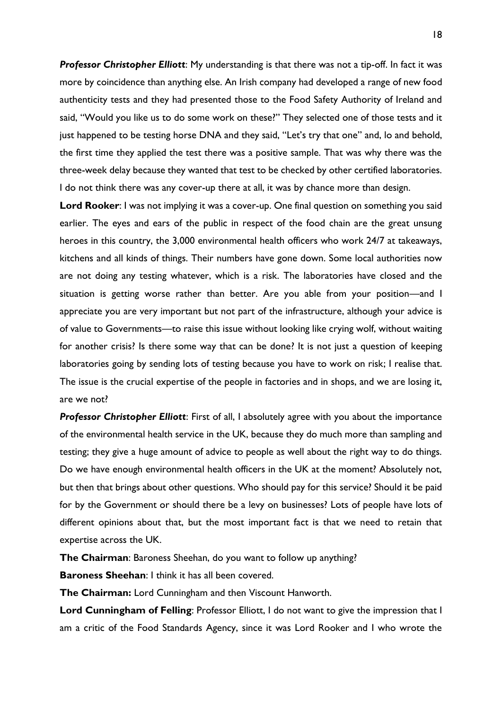*Professor Christopher Elliott*: My understanding is that there was not a tip-off. In fact it was more by coincidence than anything else. An Irish company had developed a range of new food authenticity tests and they had presented those to the Food Safety Authority of Ireland and said, "Would you like us to do some work on these?" They selected one of those tests and it just happened to be testing horse DNA and they said, "Let's try that one" and, lo and behold, the first time they applied the test there was a positive sample. That was why there was the three-week delay because they wanted that test to be checked by other certified laboratories. I do not think there was any cover-up there at all, it was by chance more than design.

**Lord Rooker**: I was not implying it was a cover-up. One final question on something you said earlier. The eyes and ears of the public in respect of the food chain are the great unsung heroes in this country, the 3,000 environmental health officers who work 24/7 at takeaways, kitchens and all kinds of things. Their numbers have gone down. Some local authorities now are not doing any testing whatever, which is a risk. The laboratories have closed and the situation is getting worse rather than better. Are you able from your position—and I appreciate you are very important but not part of the infrastructure, although your advice is of value to Governments—to raise this issue without looking like crying wolf, without waiting for another crisis? Is there some way that can be done? It is not just a question of keeping laboratories going by sending lots of testing because you have to work on risk; I realise that. The issue is the crucial expertise of the people in factories and in shops, and we are losing it, are we not?

**Professor Christopher Elliott:** First of all, I absolutely agree with you about the importance of the environmental health service in the UK, because they do much more than sampling and testing; they give a huge amount of advice to people as well about the right way to do things. Do we have enough environmental health officers in the UK at the moment? Absolutely not, but then that brings about other questions. Who should pay for this service? Should it be paid for by the Government or should there be a levy on businesses? Lots of people have lots of different opinions about that, but the most important fact is that we need to retain that expertise across the UK.

**The Chairman**: Baroness Sheehan, do you want to follow up anything?

**Baroness Sheehan**: I think it has all been covered.

**The Chairman:** Lord Cunningham and then Viscount Hanworth.

**Lord Cunningham of Felling**: Professor Elliott, I do not want to give the impression that I am a critic of the Food Standards Agency, since it was Lord Rooker and I who wrote the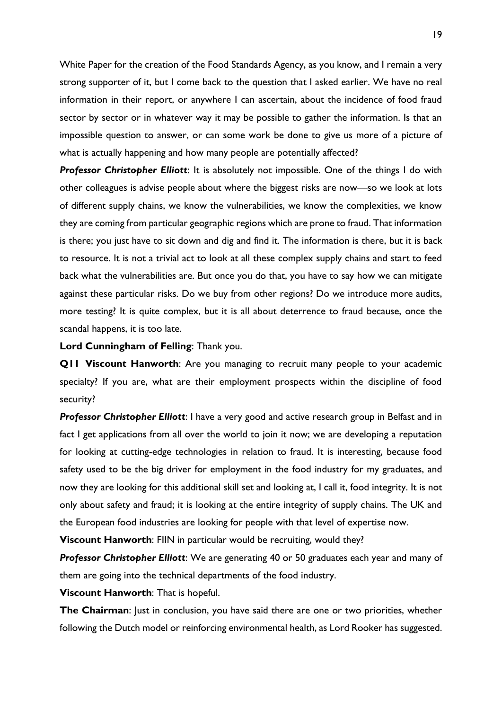White Paper for the creation of the Food Standards Agency, as you know, and I remain a very strong supporter of it, but I come back to the question that I asked earlier. We have no real information in their report, or anywhere I can ascertain, about the incidence of food fraud sector by sector or in whatever way it may be possible to gather the information. Is that an impossible question to answer, or can some work be done to give us more of a picture of what is actually happening and how many people are potentially affected?

*Professor Christopher Elliott*: It is absolutely not impossible. One of the things I do with other colleagues is advise people about where the biggest risks are now—so we look at lots of different supply chains, we know the vulnerabilities, we know the complexities, we know they are coming from particular geographic regions which are prone to fraud. That information is there; you just have to sit down and dig and find it. The information is there, but it is back to resource. It is not a trivial act to look at all these complex supply chains and start to feed back what the vulnerabilities are. But once you do that, you have to say how we can mitigate against these particular risks. Do we buy from other regions? Do we introduce more audits, more testing? It is quite complex, but it is all about deterrence to fraud because, once the scandal happens, it is too late.

**Lord Cunningham of Felling**: Thank you.

**Q11 Viscount Hanworth**: Are you managing to recruit many people to your academic specialty? If you are, what are their employment prospects within the discipline of food security?

**Professor Christopher Elliott**: I have a very good and active research group in Belfast and in fact I get applications from all over the world to join it now; we are developing a reputation for looking at cutting-edge technologies in relation to fraud. It is interesting, because food safety used to be the big driver for employment in the food industry for my graduates, and now they are looking for this additional skill set and looking at, I call it, food integrity. It is not only about safety and fraud; it is looking at the entire integrity of supply chains. The UK and the European food industries are looking for people with that level of expertise now.

**Viscount Hanworth:** FIIN in particular would be recruiting, would they?

*Professor Christopher Elliott*: We are generating 40 or 50 graduates each year and many of them are going into the technical departments of the food industry.

**Viscount Hanworth**: That is hopeful.

**The Chairman**: Just in conclusion, you have said there are one or two priorities, whether following the Dutch model or reinforcing environmental health, as Lord Rooker has suggested.